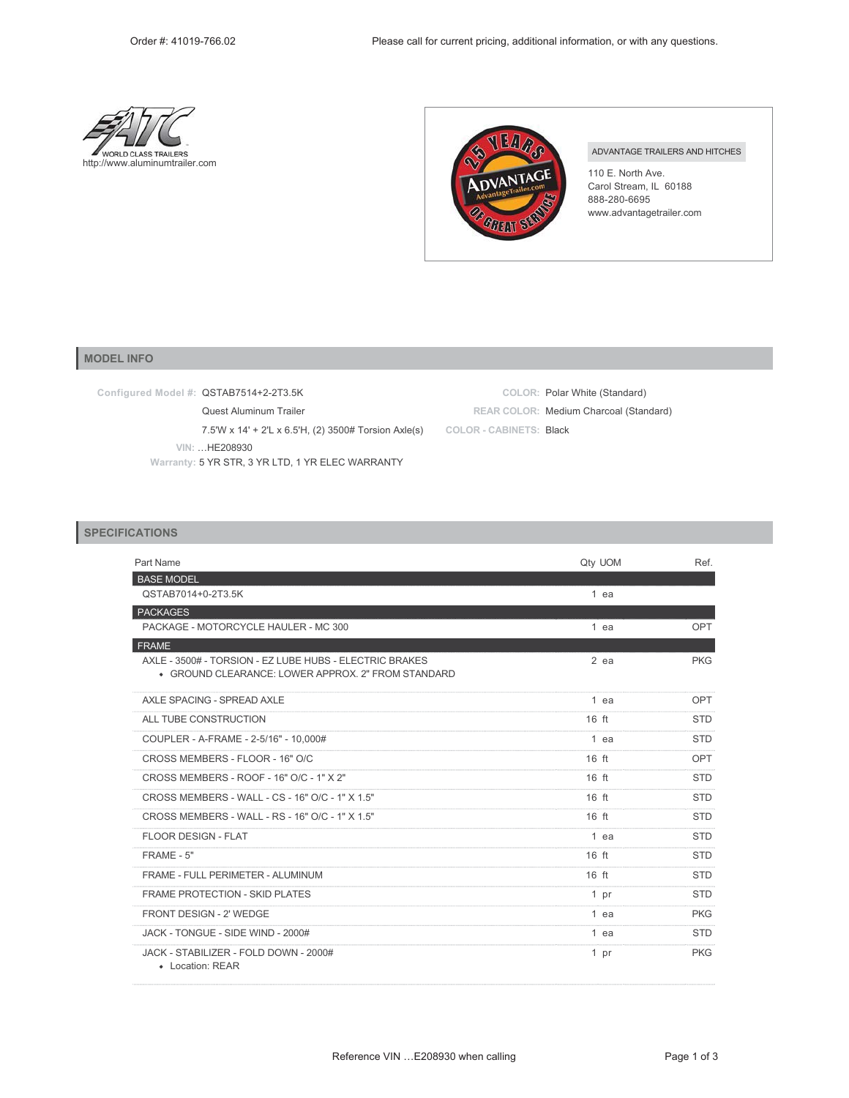



## ADVANTAGE TRAILERS AND HITCHES

110 E. North Ave. Carol Stream, IL 60188 888-280-6695 www.advantagetrailer.com

## **MODEL INFO**

**Configured Model #:** QSTAB7514+2-2T3.5K

Quest Aluminum Trailer

7.5'W x 14' + 2'L x 6.5'H, (2) 3500# Torsion Axle(s)

**VIN:** «HE208930

**Warranty:** 5 YR STR, 3 YR LTD, 1 YR ELEC WARRANTY

|                         | COLOR: Polar White (Standard)          |
|-------------------------|----------------------------------------|
|                         | REAR COLOR: Medium Charcoal (Standard) |
| COLOR - CABINETS: Black |                                        |

## **SPECIFICATIONS**

| Part Name                                                                                                     | Qty UOM         | Ref.       |
|---------------------------------------------------------------------------------------------------------------|-----------------|------------|
| <b>BASE MODEL</b>                                                                                             |                 |            |
| QSTAB7014+0-2T3.5K                                                                                            | $1$ ea          |            |
| <b>PACKAGES</b>                                                                                               |                 |            |
| PACKAGE - MOTORCYCLE HAULER - MC 300                                                                          | $1$ ea          | OPT        |
| <b>FRAME</b>                                                                                                  |                 |            |
| AXLE - 3500# - TORSION - EZ LUBE HUBS - ELECTRIC BRAKES<br>• GROUND CLEARANCE: LOWER APPROX, 2" FROM STANDARD | $2$ ea          | <b>PKG</b> |
| AXLE SPACING - SPREAD AXLE                                                                                    | 1 ea            | OPT        |
| ALL TUBE CONSTRUCTION                                                                                         | $16$ ft         | <b>STD</b> |
| COUPLER - A-FRAME - 2-5/16" - 10,000#                                                                         | 1 ea            | <b>STD</b> |
| CROSS MEMBERS - FLOOR - 16" O/C                                                                               | $16$ ft         | OPT        |
| CROSS MEMBERS - ROOF - 16" O/C - 1" X 2"                                                                      | $16$ ft         | <b>STD</b> |
| CROSS MEMBERS - WALL - CS - 16" O/C - 1" X 1.5"                                                               | $16$ ft         | <b>STD</b> |
| CROSS MEMBERS - WALL - RS - 16" O/C - 1" X 1.5"                                                               | $16$ ft         | <b>STD</b> |
| FLOOR DESIGN - FLAT                                                                                           | $1$ ea          | <b>STD</b> |
| FRAME - 5"                                                                                                    | $16$ ft         | <b>STD</b> |
| FRAME - FULL PERIMETER - ALUMINUM                                                                             | $16$ ft         | <b>STD</b> |
| <b>FRAME PROTECTION - SKID PLATES</b>                                                                         | 1 <sub>pr</sub> | <b>STD</b> |
| FRONT DESIGN - 2' WEDGE                                                                                       | 1 ea            | <b>PKG</b> |
| JACK - TONGUE - SIDE WIND - 2000#                                                                             | 1 ea            | <b>STD</b> |
| JACK - STABILIZER - FOLD DOWN - 2000#<br>• Location: REAR                                                     | 1 pr            | <b>PKG</b> |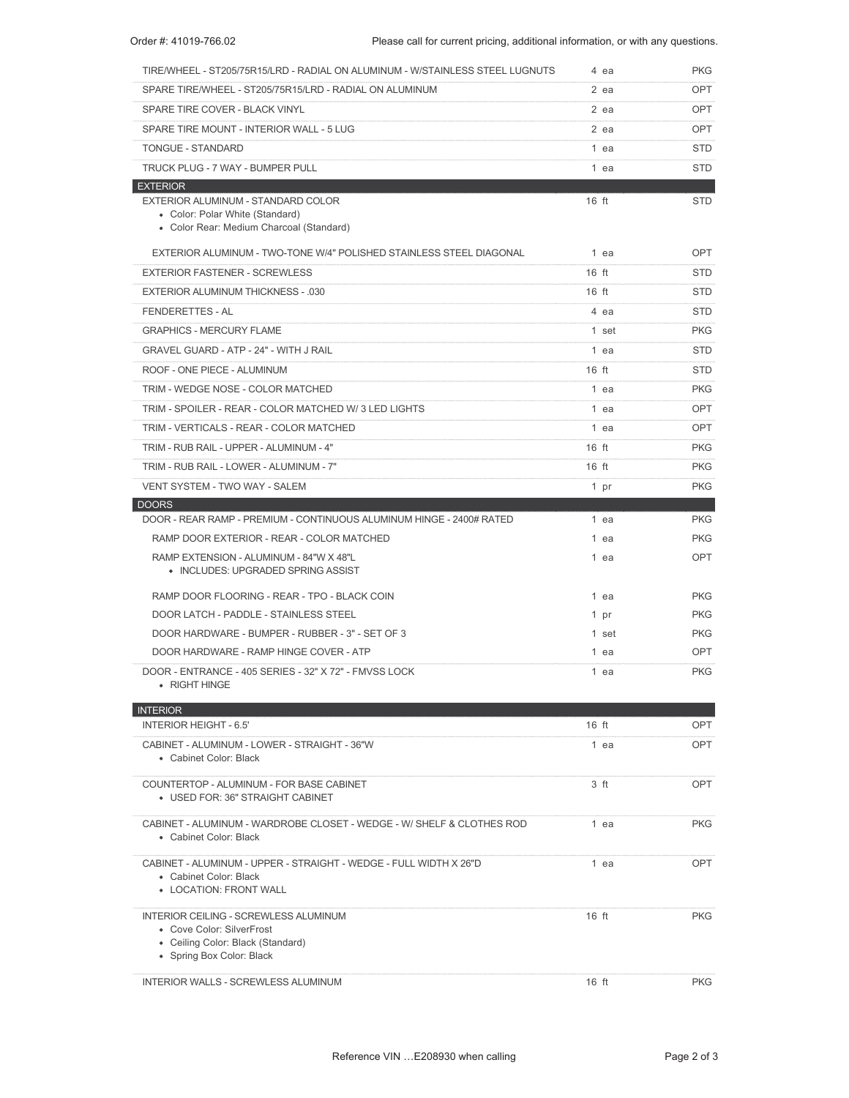| TIRE/WHEEL - ST205/75R15/LRD - RADIAL ON ALUMINUM - W/STAINLESS STEEL LUGNUTS                                                               |         | 4 ea   | <b>PKG</b> |
|---------------------------------------------------------------------------------------------------------------------------------------------|---------|--------|------------|
| SPARE TIRE/WHEEL - ST205/75R15/LRD - RADIAL ON ALUMINUM                                                                                     |         | $2$ ea | <b>OPT</b> |
| SPARE TIRE COVER - BLACK VINYL                                                                                                              |         | $2$ ea | <b>OPT</b> |
| SPARE TIRE MOUNT - INTERIOR WALL - 5 LUG                                                                                                    |         | $2$ ea | <b>OPT</b> |
| <b>TONGUE - STANDARD</b>                                                                                                                    |         | 1 ea   | <b>STD</b> |
| TRUCK PLUG - 7 WAY - BUMPER PULL                                                                                                            |         | 1 ea   | <b>STD</b> |
| <b>EXTERIOR</b><br>EXTERIOR ALUMINUM - STANDARD COLOR<br>• Color: Polar White (Standard)<br>• Color Rear: Medium Charcoal (Standard)        | $16$ ft |        | <b>STD</b> |
| EXTERIOR ALUMINUM - TWO-TONE W/4" POLISHED STAINLESS STEEL DIAGONAL                                                                         |         | 1 ea   | <b>OPT</b> |
| <b>EXTERIOR FASTENER - SCREWLESS</b>                                                                                                        | $16$ ft |        | <b>STD</b> |
| <b>EXTERIOR ALUMINUM THICKNESS - .030</b>                                                                                                   | $16$ ft |        | <b>STD</b> |
| <b>FENDERETTES - AL</b>                                                                                                                     |         | 4 ea   | <b>STD</b> |
| <b>GRAPHICS - MERCURY FLAME</b>                                                                                                             |         | 1 set  | <b>PKG</b> |
| <b>GRAVEL GUARD - ATP - 24" - WITH J RAIL</b>                                                                                               |         | 1 ea   | <b>STD</b> |
| ROOF - ONE PIECE - ALUMINUM                                                                                                                 | $16$ ft |        | <b>STD</b> |
| TRIM - WEDGE NOSE - COLOR MATCHED                                                                                                           |         | 1 ea   | <b>PKG</b> |
| TRIM - SPOILER - REAR - COLOR MATCHED W/3 LED LIGHTS                                                                                        |         | 1 ea   | <b>OPT</b> |
| TRIM - VERTICALS - REAR - COLOR MATCHED                                                                                                     |         | 1 ea   | <b>OPT</b> |
| TRIM - RUB RAIL - UPPER - ALUMINUM - 4"                                                                                                     | $16$ ft |        | <b>PKG</b> |
| TRIM - RUB RAIL - LOWER - ALUMINUM - 7"                                                                                                     | $16$ ft |        | <b>PKG</b> |
| VENT SYSTEM - TWO WAY - SALEM                                                                                                               |         | 1 pr   | <b>PKG</b> |
| <b>DOORS</b>                                                                                                                                |         |        |            |
| DOOR - REAR RAMP - PREMIUM - CONTINUOUS ALUMINUM HINGE - 2400# RATED                                                                        |         | 1 ea   | <b>PKG</b> |
| RAMP DOOR EXTERIOR - REAR - COLOR MATCHED                                                                                                   |         | 1 ea   | <b>PKG</b> |
| RAMP EXTENSION - ALUMINUM - 84"W X 48"L<br>• INCLUDES: UPGRADED SPRING ASSIST                                                               |         | 1 ea   | <b>OPT</b> |
| RAMP DOOR FLOORING - REAR - TPO - BLACK COIN                                                                                                |         | 1 ea   | <b>PKG</b> |
| DOOR LATCH - PADDLE - STAINLESS STEEL                                                                                                       |         | 1 pr   | <b>PKG</b> |
| DOOR HARDWARE - BUMPER - RUBBER - 3" - SET OF 3                                                                                             |         | 1 set  | <b>PKG</b> |
| DOOR HARDWARE - RAMP HINGE COVER - ATP                                                                                                      |         | 1 ea   | <b>OPT</b> |
| DOOR - ENTRANCE - 405 SERIES - 32" X 72" - FMVSS LOCK<br>• RIGHT HINGE                                                                      |         | 1 ea   | <b>PKG</b> |
| <b>INTERIOR</b>                                                                                                                             |         |        |            |
| <b>INTERIOR HEIGHT - 6.5'</b>                                                                                                               | $16$ ft |        | <b>OPT</b> |
| CABINET - ALUMINUM - LOWER - STRAIGHT - 36"W<br>• Cabinet Color: Black                                                                      |         | 1 ea   | <b>OPT</b> |
| COUNTERTOP - ALUMINUM - FOR BASE CABINET<br>• USED FOR: 36" STRAIGHT CABINET                                                                |         | 3 ft   | <b>OPT</b> |
| CABINET - ALUMINUM - WARDROBE CLOSET - WEDGE - W/ SHELF & CLOTHES ROD<br>• Cabinet Color: Black                                             |         | 1 ea   | <b>PKG</b> |
| CABINET - ALUMINUM - UPPER - STRAIGHT - WEDGE - FULL WIDTH X 26"D<br>• Cabinet Color: Black<br>• LOCATION: FRONT WALL                       |         | 1 ea   | <b>OPT</b> |
| <b>INTERIOR CEILING - SCREWLESS ALUMINUM</b><br>• Cove Color: SilverFrost<br>• Ceiling Color: Black (Standard)<br>• Spring Box Color: Black | $16$ ft |        | <b>PKG</b> |
| <b>INTERIOR WALLS - SCREWLESS ALUMINUM</b>                                                                                                  | $16$ ft |        | <b>PKG</b> |